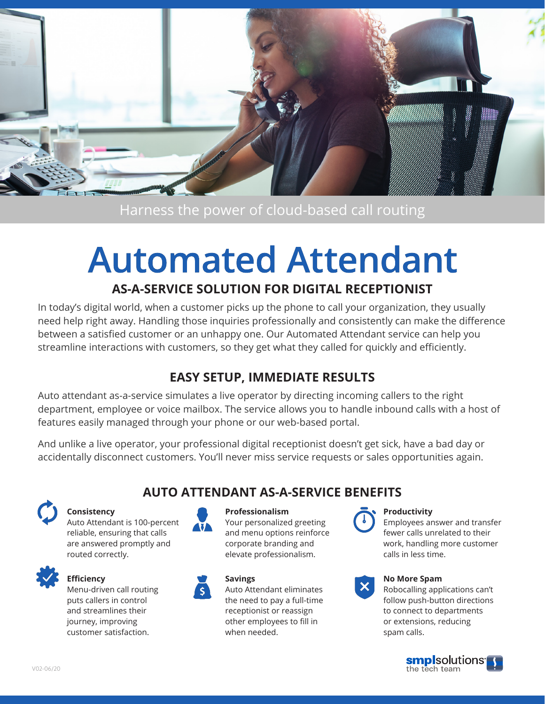

# Harness the power of cloud-based call routing

# **Automated Attendant**

# **AS-A-SERVICE SOLUTION FOR DIGITAL RECEPTIONIST**

In today's digital world, when a customer picks up the phone to call your organization, they usually need help right away. Handling those inquiries professionally and consistently can make the difference between a satisfied customer or an unhappy one. Our Automated Attendant service can help you streamline interactions with customers, so they get what they called for quickly and efficiently.

# **EASY SETUP, IMMEDIATE RESULTS**

Auto attendant as-a-service simulates a live operator by directing incoming callers to the right department, employee or voice mailbox. The service allows you to handle inbound calls with a host of features easily managed through your phone or our web-based portal.

And unlike a live operator, your professional digital receptionist doesn't get sick, have a bad day or accidentally disconnect customers. You'll never miss service requests or sales opportunities again.



### **Consistency**

Auto Attendant is 100-percent reliable, ensuring that calls are answered promptly and routed correctly. reliable, ensuri<br>are answered <sub>l</sub>



**Efficiency**

Menu-driven call routing puts callers in control and streamlines their journey, improving customer satisfaction.



## **AUTO ATTENDANT AS-A-SERVICE BENEFITS Professionalism**

Your personalized greeting and menu options reinforce corporate branding and elevate professionalism.



Auto Attendant eliminates the need to pay a full-time receptionist or reassign other employees to fill in when needed.

#### **Productivity**

Employees answer and transfer fewer calls unrelated to their work, handling more customer calls in less time.



#### **No More Spam**

Robocalling applications can't follow push-button directions to connect to departments or extensions, reducing spam calls.